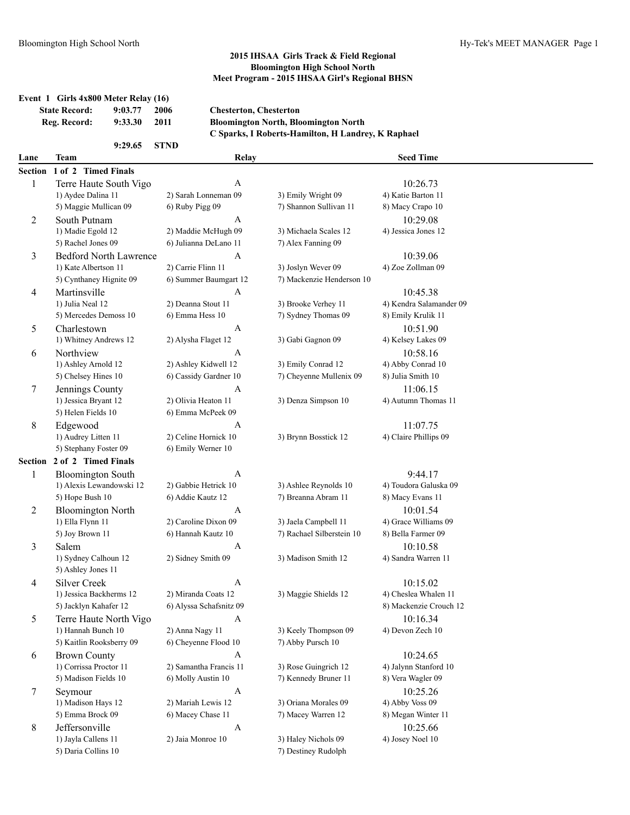|                | Event 1 Girls 4x800 Meter Relay (16)<br><b>State Record:</b><br>Reg. Record: | 9:03.77<br>9:33.30 | 2006<br>2011       | <b>Chesterton, Chesterton</b>              | <b>Bloomington North, Bloomington North</b><br>C Sparks, I Roberts-Hamilton, H Landrey, K Raphael |                                  |  |
|----------------|------------------------------------------------------------------------------|--------------------|--------------------|--------------------------------------------|---------------------------------------------------------------------------------------------------|----------------------------------|--|
|                |                                                                              | 9:29.65            | <b>STND</b>        |                                            |                                                                                                   |                                  |  |
| Lane           | Team                                                                         |                    |                    | Relay                                      |                                                                                                   | <b>Seed Time</b>                 |  |
| Section        | 1 of 2 Timed Finals                                                          |                    |                    |                                            |                                                                                                   |                                  |  |
| 1              | Terre Haute South Vigo                                                       |                    |                    | A                                          |                                                                                                   | 10:26.73                         |  |
|                | 1) Aydee Dalina 11                                                           |                    |                    | 2) Sarah Lonneman 09                       | 3) Emily Wright 09                                                                                | 4) Katie Barton 11               |  |
|                | 5) Maggie Mullican 09                                                        |                    | 6) Ruby Pigg 09    |                                            | 7) Shannon Sullivan 11                                                                            | 8) Macy Crapo 10                 |  |
| $\overline{c}$ | South Putnam                                                                 |                    |                    | A                                          |                                                                                                   | 10:29.08                         |  |
|                | 1) Madie Egold 12                                                            |                    |                    | 2) Maddie McHugh 09                        | 3) Michaela Scales 12                                                                             | 4) Jessica Jones 12              |  |
|                | 5) Rachel Jones 09                                                           |                    |                    | 6) Julianna DeLano 11                      | 7) Alex Fanning 09                                                                                |                                  |  |
| 3              | <b>Bedford North Lawrence</b>                                                |                    |                    | A                                          |                                                                                                   | 10:39.06                         |  |
|                | 1) Kate Albertson 11                                                         |                    | 2) Carrie Flinn 11 |                                            | 3) Joslyn Wever 09                                                                                | 4) Zoe Zollman 09                |  |
|                | 5) Cynthaney Hignite 09                                                      |                    |                    | 6) Summer Baumgart 12                      | 7) Mackenzie Henderson 10                                                                         |                                  |  |
| 4              | Martinsville                                                                 |                    |                    | A                                          |                                                                                                   | 10:45.38                         |  |
|                | 1) Julia Neal 12                                                             |                    |                    | 2) Deanna Stout 11                         | 3) Brooke Verhey 11                                                                               | 4) Kendra Salamander 09          |  |
|                | 5) Mercedes Demoss 10                                                        |                    | 6) Emma Hess 10    |                                            | 7) Sydney Thomas 09                                                                               | 8) Emily Krulik 11               |  |
| 5              | Charlestown                                                                  |                    |                    | A                                          |                                                                                                   | 10:51.90                         |  |
|                | 1) Whitney Andrews 12                                                        |                    |                    | 2) Alysha Flaget 12                        | 3) Gabi Gagnon 09                                                                                 | 4) Kelsey Lakes 09               |  |
| 6              | Northview                                                                    |                    |                    | A                                          |                                                                                                   | 10:58.16                         |  |
|                | 1) Ashley Arnold 12                                                          |                    |                    | 2) Ashley Kidwell 12                       | 3) Emily Conrad 12                                                                                | 4) Abby Conrad 10                |  |
|                | 5) Chelsey Hines 10                                                          |                    |                    | 6) Cassidy Gardner 10                      | 7) Cheyenne Mullenix 09                                                                           | 8) Julia Smith 10                |  |
| 7              | Jennings County                                                              |                    |                    | A                                          |                                                                                                   | 11:06.15                         |  |
|                | 1) Jessica Bryant 12                                                         |                    |                    | 2) Olivia Heaton 11                        | 3) Denza Simpson 10                                                                               | 4) Autumn Thomas 11              |  |
|                | 5) Helen Fields 10                                                           |                    |                    | 6) Emma McPeek 09                          |                                                                                                   |                                  |  |
| 8              | Edgewood                                                                     |                    |                    | A                                          |                                                                                                   | 11:07.75                         |  |
|                | 1) Audrey Litten 11<br>5) Stephany Foster 09                                 |                    |                    | 2) Celine Hornick 10<br>6) Emily Werner 10 | 3) Brynn Bosstick 12                                                                              | 4) Claire Phillips 09            |  |
|                | Section 2 of 2 Timed Finals                                                  |                    |                    |                                            |                                                                                                   |                                  |  |
|                |                                                                              |                    |                    |                                            |                                                                                                   |                                  |  |
| 1              | <b>Bloomington South</b><br>1) Alexis Lewandowski 12                         |                    |                    | A<br>2) Gabbie Hetrick 10                  | 3) Ashlee Reynolds 10                                                                             | 9:44.17<br>4) Toudora Galuska 09 |  |
|                | 5) Hope Bush 10                                                              |                    | 6) Addie Kautz 12  |                                            | 7) Breanna Abram 11                                                                               | 8) Macy Evans 11                 |  |
|                |                                                                              |                    |                    | A                                          |                                                                                                   | 10:01.54                         |  |
| $\overline{c}$ | <b>Bloomington North</b><br>1) Ella Flynn 11                                 |                    |                    | 2) Caroline Dixon 09                       | 3) Jaela Campbell 11                                                                              | 4) Grace Williams 09             |  |
|                | 5) Joy Brown 11                                                              |                    |                    | 6) Hannah Kautz 10                         | 7) Rachael Silberstein 10                                                                         | 8) Bella Farmer 09               |  |
| 3              | Salem                                                                        |                    |                    | A                                          |                                                                                                   | 10:10.58                         |  |
|                | 1) Sydney Calhoun 12                                                         |                    |                    | 2) Sidney Smith 09                         | 3) Madison Smith 12                                                                               | 4) Sandra Warren 11              |  |
|                | 5) Ashley Jones 11                                                           |                    |                    |                                            |                                                                                                   |                                  |  |
| 4              | <b>Silver Creek</b>                                                          |                    |                    | A                                          |                                                                                                   | 10:15.02                         |  |
|                | 1) Jessica Backherms 12                                                      |                    |                    | 2) Miranda Coats 12                        | 3) Maggie Shields 12                                                                              | 4) Cheslea Whalen 11             |  |
|                | 5) Jacklyn Kahafer 12                                                        |                    |                    | 6) Alyssa Schafsnitz 09                    |                                                                                                   | 8) Mackenzie Crouch 12           |  |
| 5              | Terre Haute North Vigo                                                       |                    |                    | A                                          |                                                                                                   | 10:16.34                         |  |
|                | 1) Hannah Bunch 10                                                           |                    | 2) Anna Nagy 11    |                                            | 3) Keely Thompson 09                                                                              | 4) Devon Zech 10                 |  |
|                | 5) Kaitlin Rooksberry 09                                                     |                    |                    | 6) Cheyenne Flood 10                       | 7) Abby Pursch 10                                                                                 |                                  |  |
| 6              | <b>Brown County</b>                                                          |                    |                    | A                                          |                                                                                                   | 10:24.65                         |  |
|                | 1) Corrissa Proctor 11                                                       |                    |                    | 2) Samantha Francis 11                     | 3) Rose Guingrich 12                                                                              | 4) Jalynn Stanford 10            |  |
|                | 5) Madison Fields 10                                                         |                    |                    | 6) Molly Austin 10                         | 7) Kennedy Bruner 11                                                                              | 8) Vera Wagler 09                |  |
| 7              | Seymour                                                                      |                    |                    | $\mathbf{A}$                               |                                                                                                   | 10:25.26                         |  |
|                | 1) Madison Hays 12                                                           |                    |                    | 2) Mariah Lewis 12                         | 3) Oriana Morales 09                                                                              | 4) Abby Voss 09                  |  |
|                | 5) Emma Brock 09                                                             |                    |                    | 6) Macey Chase 11                          | 7) Macey Warren 12                                                                                | 8) Megan Winter 11               |  |
| 8              | Jeffersonville                                                               |                    |                    | $\mathbf{A}$                               |                                                                                                   | 10:25.66                         |  |
|                | 1) Jayla Callens 11                                                          |                    | 2) Jaia Monroe 10  |                                            | 3) Haley Nichols 09                                                                               | 4) Josey Noel 10                 |  |
|                | 5) Daria Collins 10                                                          |                    |                    |                                            | 7) Destiney Rudolph                                                                               |                                  |  |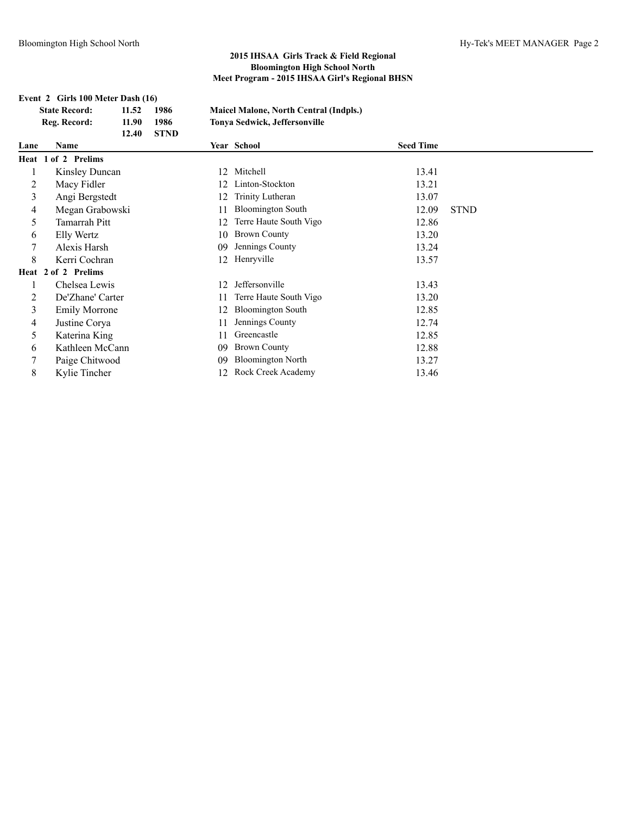**Event 2 Girls 100 Meter Dash (16)**

|                | <b>State Record:</b>  | 11.52 | 1986        |    | <b>Maicel Malone, North Central (Indpls.)</b> |                  |             |
|----------------|-----------------------|-------|-------------|----|-----------------------------------------------|------------------|-------------|
|                | Reg. Record:          | 11.90 | 1986        |    | Tonya Sedwick, Jeffersonville                 |                  |             |
|                |                       | 12.40 | <b>STND</b> |    |                                               |                  |             |
| Lane           | Name                  |       |             |    | Year School                                   | <b>Seed Time</b> |             |
|                | Heat 1 of 2 Prelims   |       |             |    |                                               |                  |             |
| 1              | <b>Kinsley Duncan</b> |       |             | 12 | Mitchell                                      | 13.41            |             |
| 2              | Macy Fidler           |       |             |    | Linton-Stockton                               | 13.21            |             |
| $\overline{3}$ | Angi Bergstedt        |       |             |    | Trinity Lutheran                              | 13.07            |             |
| 4              | Megan Grabowski       |       |             |    | <b>Bloomington South</b>                      | 12.09            | <b>STND</b> |
| 5              | Tamarrah Pitt         |       |             | 12 | Terre Haute South Vigo                        | 12.86            |             |
| 6              | Elly Wertz            |       |             | 10 | <b>Brown County</b>                           | 13.20            |             |
| 7              | Alexis Harsh          |       |             | 09 | Jennings County                               | 13.24            |             |
| 8              | Kerri Cochran         |       |             | 12 | Henryville                                    | 13.57            |             |
|                | Heat 2 of 2 Prelims   |       |             |    |                                               |                  |             |
|                | Chelsea Lewis         |       |             | 12 | Jeffersonville                                | 13.43            |             |
| 2              | De'Zhane' Carter      |       |             |    | Terre Haute South Vigo                        | 13.20            |             |
| 3              | <b>Emily Morrone</b>  |       |             |    | <b>Bloomington South</b>                      | 12.85            |             |
| $\overline{4}$ | Justine Corya         |       |             |    | Jennings County                               | 12.74            |             |
| 5              | Katerina King         |       |             |    | Greencastle                                   | 12.85            |             |
| 6              | Kathleen McCann       |       |             | 09 | <b>Brown County</b>                           | 12.88            |             |
| 7              | Paige Chitwood        |       |             | 09 | <b>Bloomington North</b>                      | 13.27            |             |
| 8              | Kylie Tincher         |       |             | 12 | Rock Creek Academy                            | 13.46            |             |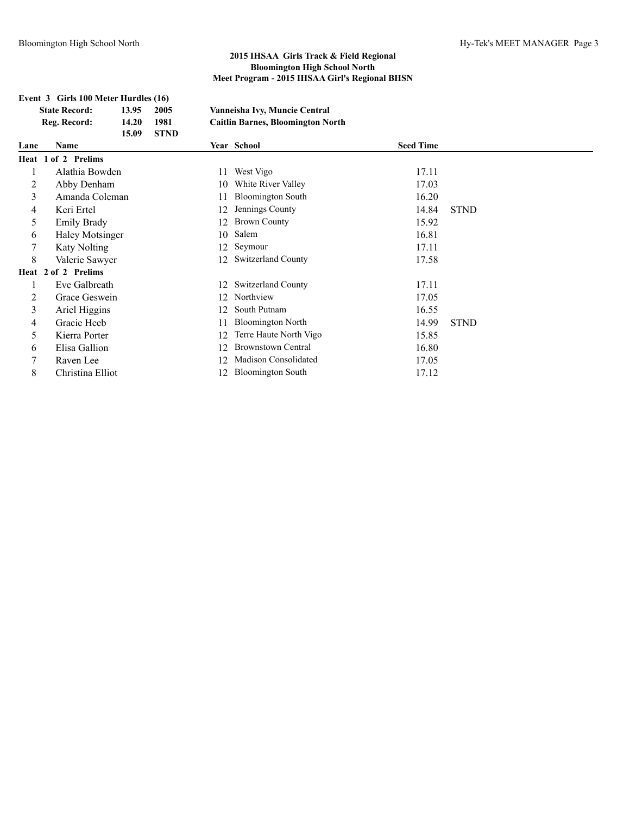|      | Event 3 Girls 100 Meter Hurdles (16) |       |             |    |                                          |                  |             |
|------|--------------------------------------|-------|-------------|----|------------------------------------------|------------------|-------------|
|      | <b>State Record:</b>                 | 13.95 | 2005        |    | Vanneisha Ivy, Muncie Central            |                  |             |
|      | Reg. Record:                         | 14.20 | 1981        |    | <b>Caitlin Barnes, Bloomington North</b> |                  |             |
|      |                                      | 15.09 | <b>STND</b> |    |                                          |                  |             |
| Lane | <b>Name</b>                          |       |             |    | Year School                              | <b>Seed Time</b> |             |
|      | Heat 1 of 2 Prelims                  |       |             |    |                                          |                  |             |
| 1    | Alathia Bowden                       |       |             | 11 | West Vigo                                | 17.11            |             |
| 2    | Abby Denham                          |       |             | 10 | White River Valley                       | 17.03            |             |
| 3    | Amanda Coleman                       |       |             | 11 | <b>Bloomington South</b>                 | 16.20            |             |
| 4    | Keri Ertel                           |       |             | 12 | Jennings County                          | 14.84            | <b>STND</b> |
| 5    | <b>Emily Brady</b>                   |       |             | 12 | <b>Brown County</b>                      | 15.92            |             |
| 6    | Haley Motsinger                      |       |             | 10 | Salem                                    | 16.81            |             |
| 7    | <b>Katy Nolting</b>                  |       |             | 12 | Seymour                                  | 17.11            |             |
| 8    | Valerie Sawyer                       |       |             | 12 | <b>Switzerland County</b>                | 17.58            |             |
|      | Heat 2 of 2 Prelims                  |       |             |    |                                          |                  |             |
| 1    | Eve Galbreath                        |       |             | 12 | <b>Switzerland County</b>                | 17.11            |             |
| 2    | Grace Geswein                        |       |             | 12 | Northview                                | 17.05            |             |
| 3    | Ariel Higgins                        |       |             | 12 | South Putnam                             | 16.55            |             |
| 4    | Gracie Heeb                          |       |             |    | <b>Bloomington North</b>                 | 14.99            | <b>STND</b> |
| 5    | Kierra Porter                        |       |             | 12 | Terre Haute North Vigo                   | 15.85            |             |
| 6    | Elisa Gallion                        |       |             | 12 | <b>Brownstown Central</b>                | 16.80            |             |
| 7    | Raven Lee                            |       |             | 12 | Madison Consolidated                     | 17.05            |             |
| 8    | Christina Elliot                     |       |             | 12 | <b>Bloomington South</b>                 | 17.12            |             |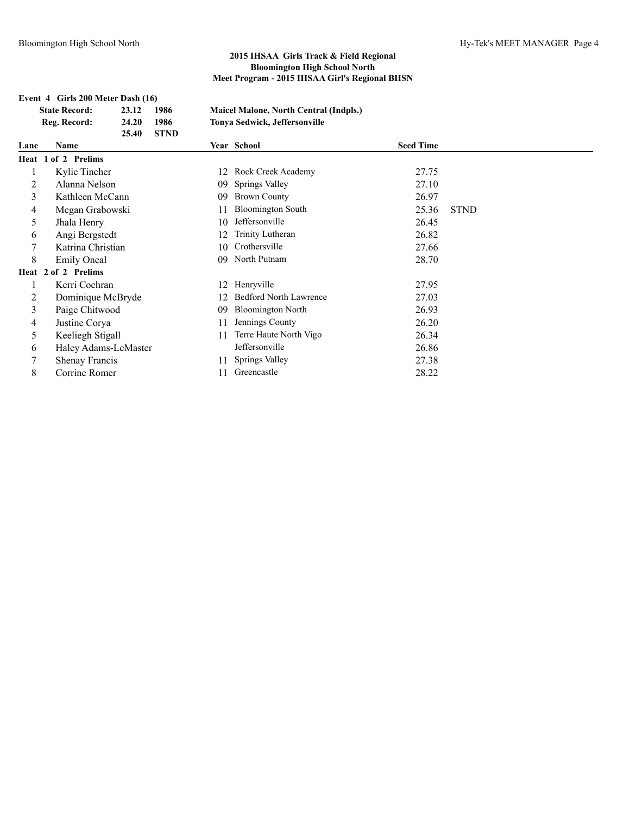**Event 4 Girls 200 Meter Dash (16)**

|      | <b>State Record:</b>  | 23.12 | 1986        |     | <b>Maicel Malone, North Central (Indpls.)</b> |                  |             |
|------|-----------------------|-------|-------------|-----|-----------------------------------------------|------------------|-------------|
|      | Reg. Record:          | 24.20 | 1986        |     | Tonya Sedwick, Jeffersonville                 |                  |             |
|      |                       | 25.40 | <b>STND</b> |     |                                               |                  |             |
| Lane | Name                  |       |             |     | Year School                                   | <b>Seed Time</b> |             |
|      | Heat 1 of 2 Prelims   |       |             |     |                                               |                  |             |
| 1    | Kylie Tincher         |       |             | 12  | Rock Creek Academy                            | 27.75            |             |
| 2    | Alanna Nelson         |       |             | 09  | Springs Valley                                | 27.10            |             |
| 3    | Kathleen McCann       |       |             | 09  | <b>Brown County</b>                           | 26.97            |             |
| 4    | Megan Grabowski       |       |             |     | <b>Bloomington South</b>                      | 25.36            | <b>STND</b> |
| 5    | Jhala Henry           |       |             | 10  | Jeffersonville                                | 26.45            |             |
| 6    | Angi Bergstedt        |       |             | 12  | Trinity Lutheran                              | 26.82            |             |
| 7    | Katrina Christian     |       |             | 10  | Crothersville                                 | 27.66            |             |
| 8    | <b>Emily Oneal</b>    |       |             | 09  | North Putnam                                  | 28.70            |             |
|      | Heat 2 of 2 Prelims   |       |             |     |                                               |                  |             |
|      | Kerri Cochran         |       |             | 12  | Henryville                                    | 27.95            |             |
| 2    | Dominique McBryde     |       |             | 12. | <b>Bedford North Lawrence</b>                 | 27.03            |             |
| 3    | Paige Chitwood        |       |             | 09  | <b>Bloomington North</b>                      | 26.93            |             |
| 4    | Justine Corya         |       |             | 11  | Jennings County                               | 26.20            |             |
| 5    | Keeliegh Stigall      |       |             | 11  | Terre Haute North Vigo                        | 26.34            |             |
| 6    | Haley Adams-LeMaster  |       |             |     | Jeffersonville                                | 26.86            |             |
| 7    | <b>Shenay Francis</b> |       |             | 11  | Springs Valley                                | 27.38            |             |
| 8    | Corrine Romer         |       |             | 11  | Greencastle                                   | 28.22            |             |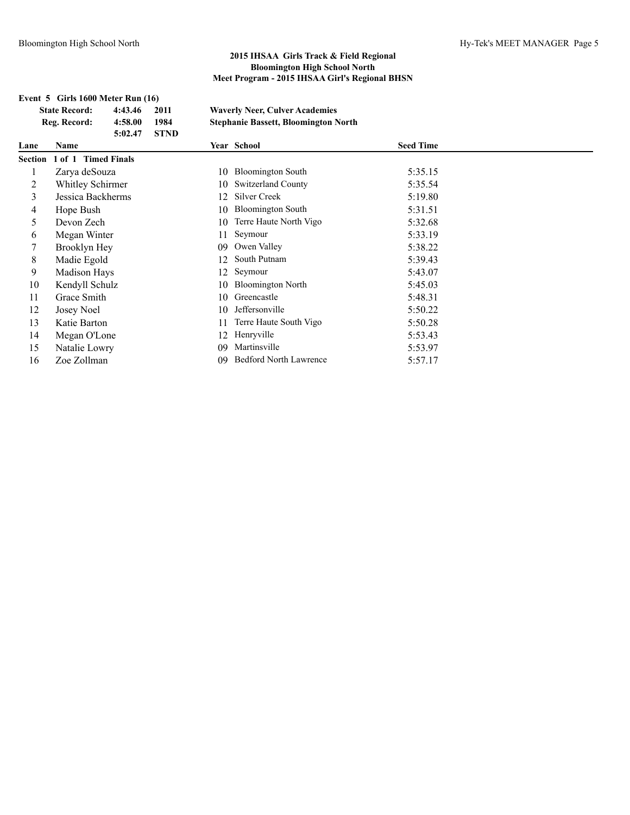## **Event 5 Girls 1600 Meter Run (16) State Record: 4:43.46 2011 Waverly Neer, Culver Academies Reg. Record: 4:58.00 1984 Stephanie Bassett, Bloomington North 5:02.47 STND Lane Name Year School Seed Time Section 1 of 1 Timed Finals** 1 Zarya deSouza 10 Bloomington South 5:35.15 2 Whitley Schirmer 10 Switzerland County 5:35.54 3 Jessica Backherms 12 Silver Creek 5:19.80 4 Hope Bush 10 Bloomington South 5:31.51 5 Devon Zech 10 Terre Haute North Vigo 5:32.68 6 Megan Winter 11 Seymour 5:33.19 7 Brooklyn Hey 09 Owen Valley 5:38.22 8 Madie Egold 12 South Putnam 5:39.43 9 Madison Hays 12 Seymour 5:43.07 10 Kendyll Schulz 10 Bloomington North 5:45.03 11 Grace Smith 10 Greencastle 5:48.31 12 Josey Noel 10 Jeffersonville 5:50.22 13 Katie Barton 11 Terre Haute South Vigo 5:50.28 14 Megan O'Lone 12 Henryville 5:53.43 15 Natalie Lowry 09 Martinsville 5:53.97 16 Zoe Zollman 09 Bedford North Lawrence 5:57.17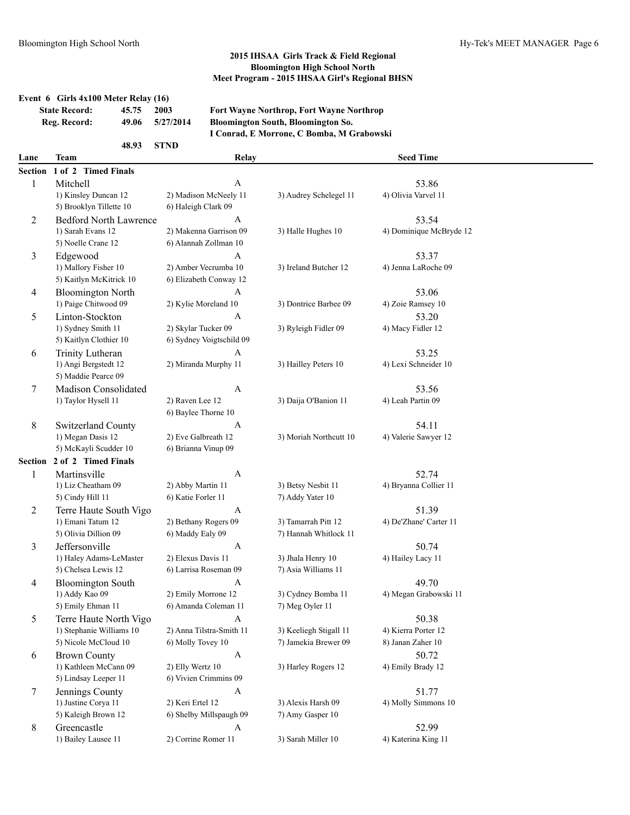## **Event 6 Girls 4x100 Meter Relay (16)**

| <b>State Record:</b> | 45.75 | 2003      |
|----------------------|-------|-----------|
| Reg. Record:         | 49.06 | 5/27/2014 |

**State Record: 45.75 2003 Fort Wayne Northrop, Fort Wayne Northrop Reg. Record: 49.06 5/27/2014 Bloomington South, Bloomington So.**

# **I Conrad, E Morrone, C Bomba, M Grabowski**

| Lane           | Team                                       | Relay                                       |                                        | <b>Seed Time</b>              |  |
|----------------|--------------------------------------------|---------------------------------------------|----------------------------------------|-------------------------------|--|
| Section        | 1 of 2 Timed Finals                        |                                             |                                        |                               |  |
| $\mathbf{1}$   | Mitchell                                   | $\mathbf{A}$                                |                                        | 53.86                         |  |
|                | 1) Kinsley Duncan 12                       | 2) Madison McNeely 11                       | 3) Audrey Schelegel 11                 | 4) Olivia Varvel 11           |  |
|                | 5) Brooklyn Tillette 10                    | 6) Haleigh Clark 09                         |                                        |                               |  |
| 2              | <b>Bedford North Lawrence</b>              | A                                           |                                        | 53.54                         |  |
|                | 1) Sarah Evans 12                          | 2) Makenna Garrison 09                      | 3) Halle Hughes 10                     | 4) Dominique McBryde 12       |  |
|                | 5) Noelle Crane 12                         | 6) Alannah Zollman 10                       |                                        |                               |  |
| 3              | Edgewood                                   | $\mathbf{A}$                                |                                        | 53.37                         |  |
|                | 1) Mallory Fisher 10                       | 2) Amber Vecrumba 10                        | 3) Ireland Butcher 12                  | 4) Jenna LaRoche 09           |  |
|                | 5) Kaitlyn McKitrick 10                    | 6) Elizabeth Conway 12                      |                                        |                               |  |
| 4              | <b>Bloomington North</b>                   | A                                           |                                        | 53.06                         |  |
|                | 1) Paige Chitwood 09                       | 2) Kylie Moreland 10                        | 3) Dontrice Barbee 09                  | 4) Zoie Ramsey 10             |  |
| 5              | Linton-Stockton                            | A                                           |                                        | 53.20                         |  |
|                | 1) Sydney Smith 11                         | 2) Skylar Tucker 09                         | 3) Ryleigh Fidler 09                   | 4) Macy Fidler 12             |  |
|                | 5) Kaitlyn Clothier 10                     | 6) Sydney Voigtschild 09                    |                                        |                               |  |
| 6              | Trinity Lutheran                           | A                                           |                                        | 53.25                         |  |
|                | 1) Angi Bergstedt 12                       | 2) Miranda Murphy 11                        | 3) Hailley Peters 10                   | 4) Lexi Schneider 10          |  |
|                | 5) Maddie Pearce 09                        |                                             |                                        |                               |  |
| 7              | Madison Consolidated                       | A                                           |                                        | 53.56                         |  |
|                | 1) Taylor Hysell 11                        | 2) Raven Lee 12<br>6) Baylee Thorne 10      | 3) Daija O'Banion 11                   | 4) Leah Partin 09             |  |
|                |                                            |                                             |                                        |                               |  |
| $\,8$          | Switzerland County<br>1) Megan Dasis 12    | A<br>2) Eve Galbreath 12                    | 3) Moriah Northcutt 10                 | 54.11<br>4) Valerie Sawyer 12 |  |
|                | 5) McKayli Scudder 10                      | 6) Brianna Vinup 09                         |                                        |                               |  |
| Section        | 2 of 2 Timed Finals                        |                                             |                                        |                               |  |
| 1              | Martinsville                               | $\mathbf{A}$                                |                                        | 52.74                         |  |
|                | 1) Liz Cheatham 09                         | 2) Abby Martin 11                           | 3) Betsy Nesbit 11                     | 4) Bryanna Collier 11         |  |
|                | 5) Cindy Hill 11                           | 6) Katie Forler 11                          | 7) Addy Yater 10                       |                               |  |
| $\overline{2}$ | Terre Haute South Vigo                     | A                                           |                                        | 51.39                         |  |
|                | 1) Emani Tatum 12                          | 2) Bethany Rogers 09                        | 3) Tamarrah Pitt 12                    | 4) De'Zhane' Carter 11        |  |
|                | 5) Olivia Dillion 09                       | 6) Maddy Ealy 09                            | 7) Hannah Whitlock 11                  |                               |  |
| 3              | Jeffersonville                             | A                                           |                                        | 50.74                         |  |
|                | 1) Haley Adams-LeMaster                    | 2) Elexus Davis 11                          | 3) Jhala Henry 10                      | 4) Hailey Lacy 11             |  |
|                | 5) Chelsea Lewis 12                        | 6) Larrisa Roseman 09                       | 7) Asia Williams 11                    |                               |  |
| 4              | <b>Bloomington South</b>                   | A                                           |                                        | 49.70                         |  |
|                | 1) Addy Kao 09                             | 2) Emily Morrone 12                         | 3) Cydney Bomba 11                     | 4) Megan Grabowski 11         |  |
|                | 5) Emily Ehman 11                          | 6) Amanda Coleman 11                        | 7) Meg Oyler 11                        |                               |  |
| 5              | Terre Haute North Vigo                     | A                                           |                                        | 50.38                         |  |
|                | 1) Stephanie Williams 10                   | 2) Anna Tilstra-Smith 11                    | 3) Keeliegh Stigall 11                 | 4) Kierra Porter 12           |  |
|                | 5) Nicole McCloud 10                       | 6) Molly Tovey 10                           | 7) Jamekia Brewer 09                   | 8) Janan Zaher 10             |  |
| 6              | <b>Brown County</b>                        | $\mathbf{A}$                                |                                        | 50.72                         |  |
|                | 1) Kathleen McCann 09                      | 2) Elly Wertz 10                            | 3) Harley Rogers 12                    | 4) Emily Brady 12             |  |
|                | 5) Lindsay Leeper 11                       | 6) Vivien Crimmins 09                       |                                        |                               |  |
| 7              | Jennings County                            | $\mathbf{A}$                                |                                        | 51.77                         |  |
|                | 1) Justine Corya 11<br>5) Kaleigh Brown 12 | 2) Keri Ertel 12<br>6) Shelby Millspaugh 09 | 3) Alexis Harsh 09<br>7) Amy Gasper 10 | 4) Molly Simmons 10           |  |
|                | Greencastle                                | $\mathbf{A}$                                |                                        | 52.99                         |  |
| 8              | 1) Bailey Lausee 11                        | 2) Corrine Romer 11                         | 3) Sarah Miller 10                     | 4) Katerina King 11           |  |
|                |                                            |                                             |                                        |                               |  |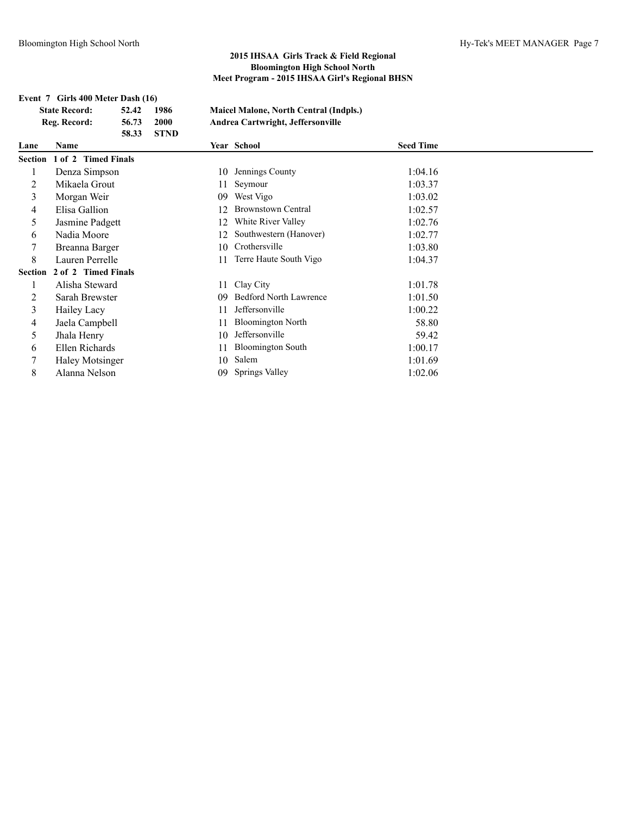|                | Event 7 Girls 400 Meter Dash (16) |       |             |    |                                               |                  |  |
|----------------|-----------------------------------|-------|-------------|----|-----------------------------------------------|------------------|--|
|                | <b>State Record:</b>              | 52.42 | 1986        |    | <b>Maicel Malone, North Central (Indpls.)</b> |                  |  |
|                | Reg. Record:                      | 56.73 | 2000        |    | Andrea Cartwright, Jeffersonville             |                  |  |
|                |                                   | 58.33 | <b>STND</b> |    |                                               |                  |  |
| Lane           | Name                              |       |             |    | Year School                                   | <b>Seed Time</b> |  |
|                | Section 1 of 2 Timed Finals       |       |             |    |                                               |                  |  |
| 1              | Denza Simpson                     |       |             | 10 | Jennings County                               | 1:04.16          |  |
| 2              | Mikaela Grout                     |       |             | 11 | Seymour                                       | 1:03.37          |  |
| 3              | Morgan Weir                       |       |             | 09 | West Vigo                                     | 1:03.02          |  |
| 4              | Elisa Gallion                     |       |             | 12 | <b>Brownstown Central</b>                     | 1:02.57          |  |
| 5              | Jasmine Padgett                   |       |             | 12 | White River Valley                            | 1:02.76          |  |
| 6              | Nadia Moore                       |       |             | 12 | Southwestern (Hanover)                        | 1:02.77          |  |
| 7              | Breanna Barger                    |       |             | 10 | Crothersville                                 | 1:03.80          |  |
| 8              | Lauren Perrelle                   |       |             | 11 | Terre Haute South Vigo                        | 1:04.37          |  |
| <b>Section</b> | 2 of 2 Timed Finals               |       |             |    |                                               |                  |  |
| 1              | Alisha Steward                    |       |             | 11 | Clay City                                     | 1:01.78          |  |
| 2              | Sarah Brewster                    |       |             | 09 | <b>Bedford North Lawrence</b>                 | 1:01.50          |  |
| 3              | Hailey Lacy                       |       |             | 11 | Jeffersonville                                | 1:00.22          |  |
| 4              | Jaela Campbell                    |       |             | 11 | <b>Bloomington North</b>                      | 58.80            |  |
| 5              | Jhala Henry                       |       |             | 10 | Jeffersonville                                | 59.42            |  |
| 6              | Ellen Richards                    |       |             | 11 | <b>Bloomington South</b>                      | 1:00.17          |  |
| 7              | <b>Haley Motsinger</b>            |       |             | 10 | Salem                                         | 1:01.69          |  |
| 8              | Alanna Nelson                     |       |             | 09 | Springs Valley                                | 1:02.06          |  |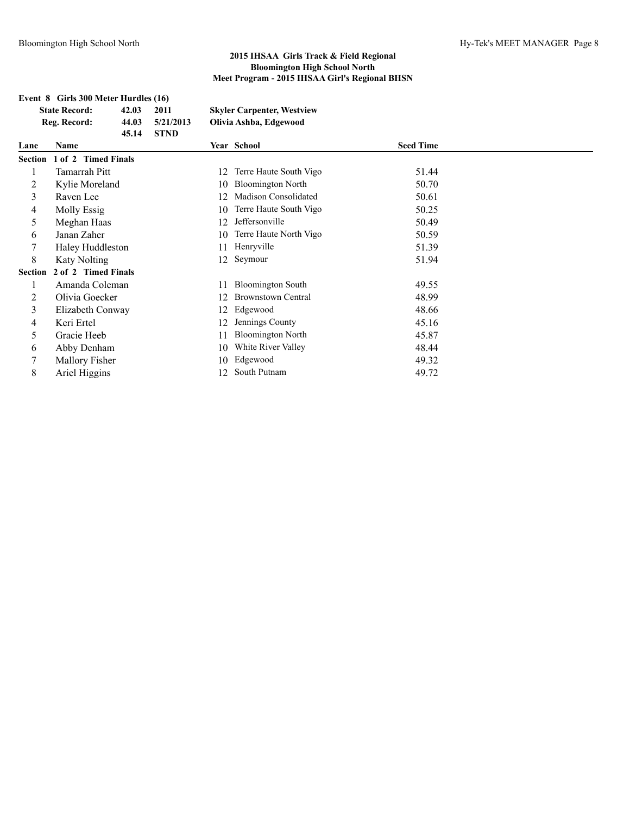|                | Event 8 Girls 300 Meter Hurdles (16) |       |             |    |                                   |                  |
|----------------|--------------------------------------|-------|-------------|----|-----------------------------------|------------------|
|                | <b>State Record:</b>                 | 42.03 | 2011        |    | <b>Skyler Carpenter, Westview</b> |                  |
|                | Reg. Record:                         | 44.03 | 5/21/2013   |    | Olivia Ashba, Edgewood            |                  |
|                |                                      | 45.14 | <b>STND</b> |    |                                   |                  |
| Lane           | <b>Name</b>                          |       |             |    | Year School                       | <b>Seed Time</b> |
|                | Section 1 of 2 Timed Finals          |       |             |    |                                   |                  |
|                | <b>Tamarrah Pitt</b>                 |       |             | 12 | Terre Haute South Vigo            | 51.44            |
| 2              | Kylie Moreland                       |       |             | 10 | <b>Bloomington North</b>          | 50.70            |
| 3              | Raven Lee                            |       |             | 12 | Madison Consolidated              | 50.61            |
| 4              | Molly Essig                          |       |             | 10 | Terre Haute South Vigo            | 50.25            |
| 5              | Meghan Haas                          |       |             | 12 | Jeffersonville                    | 50.49            |
| 6              | Janan Zaher                          |       |             | 10 | Terre Haute North Vigo            | 50.59            |
| 7              | Haley Huddleston                     |       |             | 11 | Henryville                        | 51.39            |
| 8              | <b>Katy Nolting</b>                  |       |             | 12 | Seymour                           | 51.94            |
| <b>Section</b> | 2 of 2 Timed Finals                  |       |             |    |                                   |                  |
|                | Amanda Coleman                       |       |             | 11 | <b>Bloomington South</b>          | 49.55            |
| 2              | Olivia Goecker                       |       |             | 12 | <b>Brownstown Central</b>         | 48.99            |
| 3              | Elizabeth Conway                     |       |             | 12 | Edgewood                          | 48.66            |
| 4              | Keri Ertel                           |       |             | 12 | Jennings County                   | 45.16            |
| 5              | Gracie Heeb                          |       |             | 11 | <b>Bloomington North</b>          | 45.87            |
| 6              | Abby Denham                          |       |             | 10 | White River Valley                | 48.44            |
|                | Mallory Fisher                       |       |             | 10 | Edgewood                          | 49.32            |
| 8              | Ariel Higgins                        |       |             | 12 | South Putnam                      | 49.72            |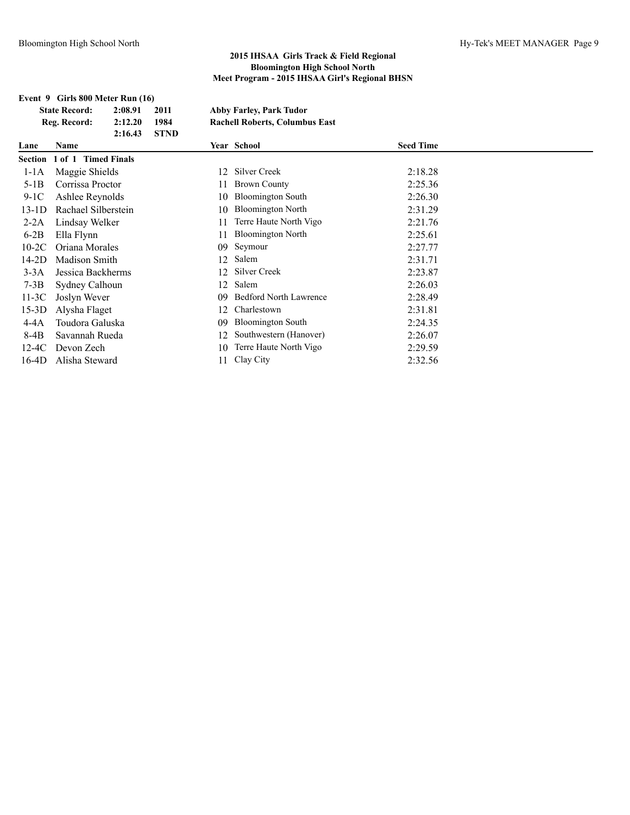## **Event 9 Girls 800 Meter Run (16)**

**State Record: 2:08.91 2011 Abby Farley, Park Tudor Reg. Record: 2:12.20 1984 Rachell Roberts, Columbus East 2:16.43 STND**

| Lane    | <b>Name</b>                 |    | <b>Year School</b>            | <b>Seed Time</b> |
|---------|-----------------------------|----|-------------------------------|------------------|
|         | Section 1 of 1 Timed Finals |    |                               |                  |
| $1-1A$  | Maggie Shields              | 12 | Silver Creek                  | 2:18.28          |
| $5-1B$  | Corrissa Proctor            | 11 | <b>Brown County</b>           | 2:25.36          |
| $9-1C$  | Ashlee Reynolds             | 10 | <b>Bloomington South</b>      | 2:26.30          |
| $13-1D$ | Rachael Silberstein         | 10 | <b>Bloomington North</b>      | 2:31.29          |
| $2-2A$  | Lindsay Welker              | 11 | Terre Haute North Vigo        | 2:21.76          |
| $6-2B$  | Ella Flynn                  | 11 | <b>Bloomington North</b>      | 2:25.61          |
| $10-2C$ | Oriana Morales              |    | 09 Seymour                    | 2:27.77          |
| 14-2D   | Madison Smith               | 12 | Salem                         | 2:31.71          |
| $3-3A$  | Jessica Backherms           | 12 | Silver Creek                  | 2:23.87          |
| $7-3B$  | Sydney Calhoun              | 12 | Salem                         | 2:26.03          |
| $11-3C$ | Joslyn Wever                | 09 | <b>Bedford North Lawrence</b> | 2:28.49          |
| $15-3D$ | Alysha Flaget               | 12 | Charlestown                   | 2:31.81          |
| 4-4A    | Toudora Galuska             | 09 | <b>Bloomington South</b>      | 2:24.35          |
| 8-4B    | Savannah Rueda              | 12 | Southwestern (Hanover)        | 2:26.07          |
| 12-4C   | Devon Zech                  | 10 | Terre Haute North Vigo        | 2:29.59          |
| 16-4D   | Alisha Steward              | 11 | Clay City                     | 2:32.56          |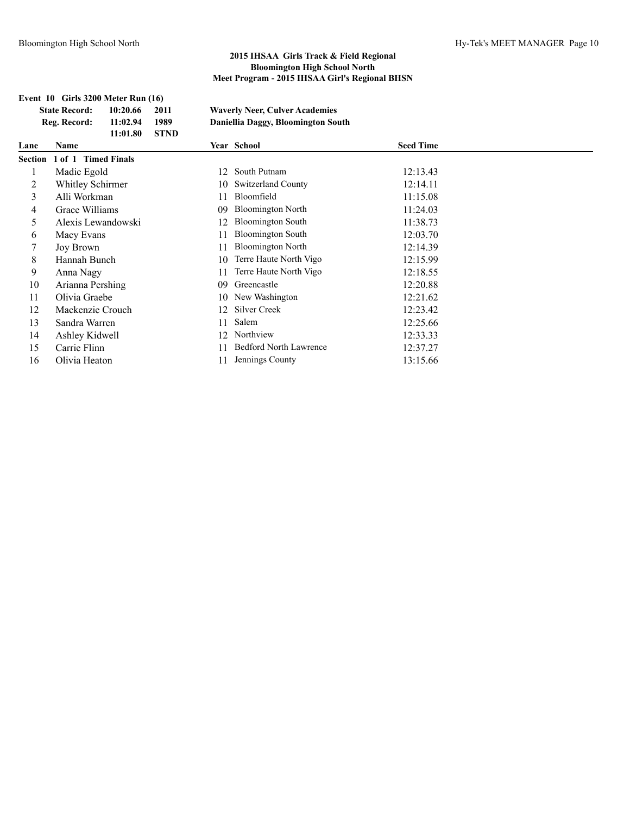|         | Event 10 Girls 3200 Meter Run (16) |          |             |    |                                       |                  |  |
|---------|------------------------------------|----------|-------------|----|---------------------------------------|------------------|--|
|         | <b>State Record:</b>               | 10:20.66 | 2011        |    | <b>Waverly Neer, Culver Academies</b> |                  |  |
|         | Reg. Record:                       | 11:02.94 | 1989        |    | Daniellia Daggy, Bloomington South    |                  |  |
|         |                                    | 11:01.80 | <b>STND</b> |    |                                       |                  |  |
| Lane    | <b>Name</b>                        |          |             |    | Year School                           | <b>Seed Time</b> |  |
| Section | 1 of 1 Timed Finals                |          |             |    |                                       |                  |  |
|         | Madie Egold                        |          |             | 12 | South Putnam                          | 12:13.43         |  |
| 2       | Whitley Schirmer                   |          |             | 10 | <b>Switzerland County</b>             | 12:14.11         |  |
| 3       | Alli Workman                       |          |             | 11 | Bloomfield                            | 11:15.08         |  |
| 4       | Grace Williams                     |          |             | 09 | <b>Bloomington North</b>              | 11:24.03         |  |
| 5       | Alexis Lewandowski                 |          |             | 12 | <b>Bloomington South</b>              | 11:38.73         |  |
| 6       | Macy Evans                         |          |             | 11 | <b>Bloomington South</b>              | 12:03.70         |  |
|         | <b>Joy Brown</b>                   |          |             | 11 | <b>Bloomington North</b>              | 12:14.39         |  |
| 8       | Hannah Bunch                       |          |             | 10 | Terre Haute North Vigo                | 12:15.99         |  |
| 9       | Anna Nagy                          |          |             | 11 | Terre Haute North Vigo                | 12:18.55         |  |
| 10      | Arianna Pershing                   |          |             | 09 | Greencastle                           | 12:20.88         |  |
| 11      | Olivia Graebe                      |          |             | 10 | New Washington                        | 12:21.62         |  |
| 12      | Mackenzie Crouch                   |          |             | 12 | Silver Creek                          | 12:23.42         |  |
| 13      | Sandra Warren                      |          |             | 11 | Salem                                 | 12:25.66         |  |
| 14      | Ashley Kidwell                     |          |             | 12 | Northview                             | 12:33.33         |  |
| 15      | Carrie Flinn                       |          |             | 11 | <b>Bedford North Lawrence</b>         | 12:37.27         |  |
| 16      | Olivia Heaton                      |          |             | 11 | Jennings County                       | 13:15.66         |  |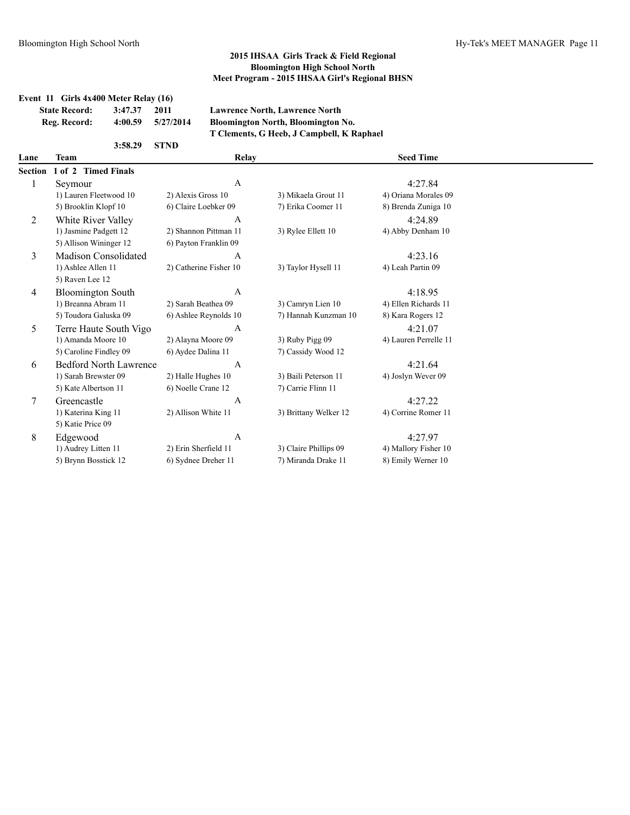|                | Event 11 Girls 4x400 Meter Relay (16) |                        |                                           |                       |  |  |
|----------------|---------------------------------------|------------------------|-------------------------------------------|-----------------------|--|--|
|                | 3:47.37<br><b>State Record:</b>       | 2011                   | <b>Lawrence North, Lawrence North</b>     |                       |  |  |
|                | Reg. Record:<br>4:00.59               | 5/27/2014              | Bloomington North, Bloomington No.        |                       |  |  |
|                |                                       |                        | T Clements, G Heeb, J Campbell, K Raphael |                       |  |  |
|                | 3:58.29                               | <b>STND</b>            |                                           |                       |  |  |
| Lane           | <b>Team</b>                           | Relay                  |                                           | <b>Seed Time</b>      |  |  |
| <b>Section</b> | 1 of 2 Timed Finals                   |                        |                                           |                       |  |  |
| 1              | Seymour                               | A                      |                                           | 4:27.84               |  |  |
|                | 1) Lauren Fleetwood 10                | 2) Alexis Gross 10     | 3) Mikaela Grout 11                       | 4) Oriana Morales 09  |  |  |
|                | 5) Brooklin Klopf 10                  | 6) Claire Loebker 09   | 7) Erika Coomer 11                        | 8) Brenda Zuniga 10   |  |  |
| 2              | White River Valley                    | A                      |                                           | 4:24.89               |  |  |
|                | 1) Jasmine Padgett 12                 | 2) Shannon Pittman 11  | 3) Rylee Ellett 10                        | 4) Abby Denham 10     |  |  |
|                | 5) Allison Wininger 12                | 6) Payton Franklin 09  |                                           |                       |  |  |
| 3              | Madison Consolidated                  | A                      |                                           | 4:23.16               |  |  |
|                | 1) Ashlee Allen 11                    | 2) Catherine Fisher 10 | 3) Taylor Hysell 11                       | 4) Leah Partin 09     |  |  |
|                | 5) Raven Lee 12                       |                        |                                           |                       |  |  |
| 4              | <b>Bloomington South</b>              | A                      |                                           | 4:18.95               |  |  |
|                | 1) Breanna Abram 11                   | 2) Sarah Beathea 09    | 3) Camryn Lien 10                         | 4) Ellen Richards 11  |  |  |
|                | 5) Toudora Galuska 09                 | 6) Ashlee Reynolds 10  | 7) Hannah Kunzman 10                      | 8) Kara Rogers 12     |  |  |
| 5              | Terre Haute South Vigo                | A                      |                                           | 4:21.07               |  |  |
|                | 1) Amanda Moore 10                    | 2) Alayna Moore 09     | 3) Ruby Pigg 09                           | 4) Lauren Perrelle 11 |  |  |
|                | 5) Caroline Findley 09                | 6) Aydee Dalina 11     | 7) Cassidy Wood 12                        |                       |  |  |
| 6              | <b>Bedford North Lawrence</b>         | $\mathbf{A}$           |                                           | 4:21.64               |  |  |
|                | 1) Sarah Brewster 09                  | 2) Halle Hughes 10     | 3) Baili Peterson 11                      | 4) Joslyn Wever 09    |  |  |
|                | 5) Kate Albertson 11                  | 6) Noelle Crane 12     | 7) Carrie Flinn 11                        |                       |  |  |
| 7              | Greencastle                           | $\mathbf{A}$           |                                           | 4:27.22               |  |  |
|                | 1) Katerina King 11                   | 2) Allison White 11    | 3) Brittany Welker 12                     | 4) Corrine Romer 11   |  |  |
|                | 5) Katie Price 09                     |                        |                                           |                       |  |  |
| 8              | Edgewood                              | $\mathbf{A}$           |                                           | 4:27.97               |  |  |
|                | 1) Audrey Litten 11                   | 2) Erin Sherfield 11   | 3) Claire Phillips 09                     | 4) Mallory Fisher 10  |  |  |
|                | 5) Brynn Bosstick 12                  | 6) Sydnee Dreher 11    | 7) Miranda Drake 11                       | 8) Emily Werner 10    |  |  |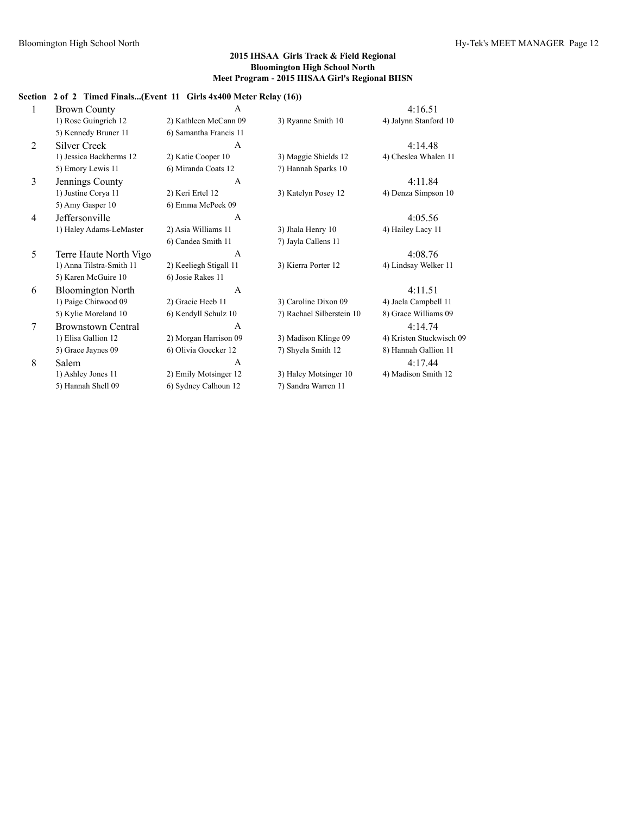## **Section 2 of 2 Timed Finals...(Event 11 Girls 4x400 Meter Relay (16))**

| 1 | <b>Brown County</b>       | $\mathsf{A}$           |                           | 4:16.51                  |
|---|---------------------------|------------------------|---------------------------|--------------------------|
|   | 1) Rose Guingrich 12      | 2) Kathleen McCann 09  | 3) Ryanne Smith 10        | 4) Jalynn Stanford 10    |
|   | 5) Kennedy Bruner 11      | 6) Samantha Francis 11 |                           |                          |
| 2 | <b>Silver Creek</b>       | $\mathsf{A}$           |                           | 4:14.48                  |
|   | 1) Jessica Backherms 12   | 2) Katie Cooper 10     | 3) Maggie Shields 12      | 4) Cheslea Whalen 11     |
|   | 5) Emory Lewis 11         | 6) Miranda Coats 12    | 7) Hannah Sparks 10       |                          |
| 3 | Jennings County           | $\mathbf{A}$           |                           | 4:11.84                  |
|   | 1) Justine Corya 11       | 2) Keri Ertel 12       | 3) Katelyn Posey 12       | 4) Denza Simpson 10      |
|   | 5) Amy Gasper 10          | 6) Emma McPeek 09      |                           |                          |
| 4 | Jeffersonville            | $\mathsf{A}$           |                           | 4:05.56                  |
|   | 1) Haley Adams-LeMaster   | 2) Asia Williams 11    | 3) Jhala Henry 10         | 4) Hailey Lacy 11        |
|   |                           | 6) Candea Smith 11     | 7) Jayla Callens 11       |                          |
| 5 | Terre Haute North Vigo    | $\mathsf{A}$           |                           | 4:08.76                  |
|   | 1) Anna Tilstra-Smith 11  | 2) Keeliegh Stigall 11 | 3) Kierra Porter 12       | 4) Lindsay Welker 11     |
|   | 5) Karen McGuire 10       | 6) Josie Rakes 11      |                           |                          |
| 6 | <b>Bloomington North</b>  | $\mathsf{A}$           |                           | 4:11.51                  |
|   | 1) Paige Chitwood 09      | 2) Gracie Heeb 11      | 3) Caroline Dixon 09      | 4) Jaela Campbell 11     |
|   | 5) Kylie Moreland 10      | 6) Kendyll Schulz 10   | 7) Rachael Silberstein 10 | 8) Grace Williams 09     |
| 7 | <b>Brownstown Central</b> | $\mathsf{A}$           |                           | 4:14.74                  |
|   | 1) Elisa Gallion 12       | 2) Morgan Harrison 09  | 3) Madison Klinge 09      | 4) Kristen Stuckwisch 09 |
|   | 5) Grace Jaynes 09        | 6) Olivia Goecker 12   | 7) Shyela Smith 12        | 8) Hannah Gallion 11     |
| 8 | Salem                     | A                      |                           | 4:17.44                  |
|   | 1) Ashley Jones 11        | 2) Emily Motsinger 12  | 3) Haley Motsinger 10     | 4) Madison Smith 12      |
|   |                           |                        |                           |                          |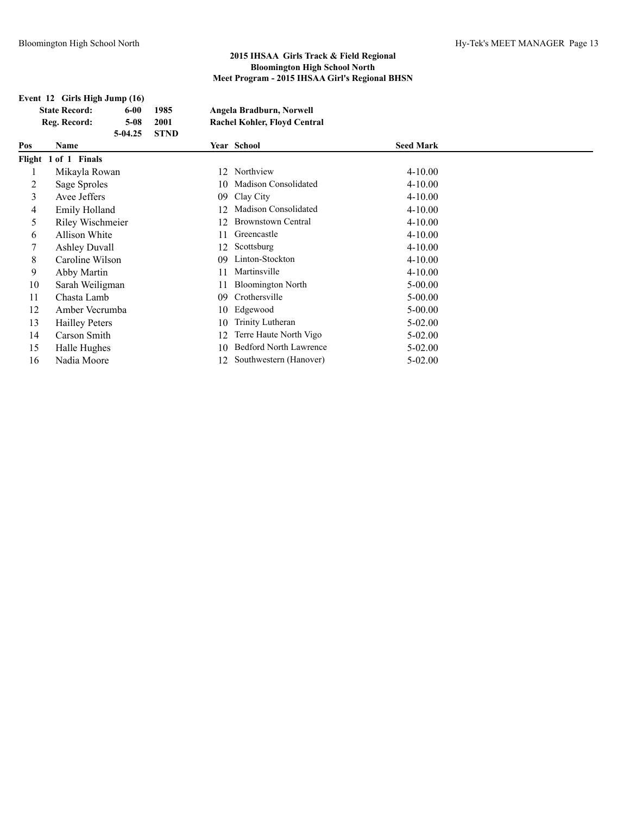## **Event 12 Girls High Jump (16)**

| <b>State Record:</b> | 6-00      | 1985        | Angela Bradburn, Norwell            |
|----------------------|-----------|-------------|-------------------------------------|
| Reg. Record:         | 5-08      | 2001        | <b>Rachel Kohler, Floyd Central</b> |
|                      | $5-04.25$ | <b>STND</b> |                                     |

| Pos | Name                  |     | Year School                   | <b>Seed Mark</b> |  |
|-----|-----------------------|-----|-------------------------------|------------------|--|
|     | Flight 1 of 1 Finals  |     |                               |                  |  |
|     | Mikayla Rowan         | 12. | Northview                     | $4 - 10.00$      |  |
| 2   | Sage Sproles          |     | 10 Madison Consolidated       | $4 - 10.00$      |  |
| 3   | Avee Jeffers          |     | 09 Clay City                  | $4 - 10.00$      |  |
| 4   | Emily Holland         | 12  | Madison Consolidated          | $4 - 10.00$      |  |
| 5   | Riley Wischmeier      | 12. | <b>Brownstown Central</b>     | $4 - 10.00$      |  |
| 6   | Allison White         | 11  | Greencastle                   | $4 - 10.00$      |  |
|     | <b>Ashley Duvall</b>  | 12  | Scottsburg                    | $4 - 10.00$      |  |
| 8   | Caroline Wilson       | 09  | Linton-Stockton               | $4 - 10.00$      |  |
| 9   | Abby Martin           | 11  | Martinsville                  | $4 - 10.00$      |  |
| 10  | Sarah Weiligman       |     | <b>Bloomington North</b>      | $5 - 00.00$      |  |
| 11  | Chasta Lamb           | 09  | Crothersville                 | $5 - 00.00$      |  |
| 12  | Amber Vecrumba        | 10  | Edgewood                      | $5 - 00.00$      |  |
| 13  | <b>Hailley Peters</b> | 10  | Trinity Lutheran              | $5-02.00$        |  |
| 14  | Carson Smith          | 12  | Terre Haute North Vigo        | $5-02.00$        |  |
| 15  | Halle Hughes          | 10  | <b>Bedford North Lawrence</b> | $5-02.00$        |  |
| 16  | Nadia Moore           | 12. | Southwestern (Hanover)        | $5 - 02.00$      |  |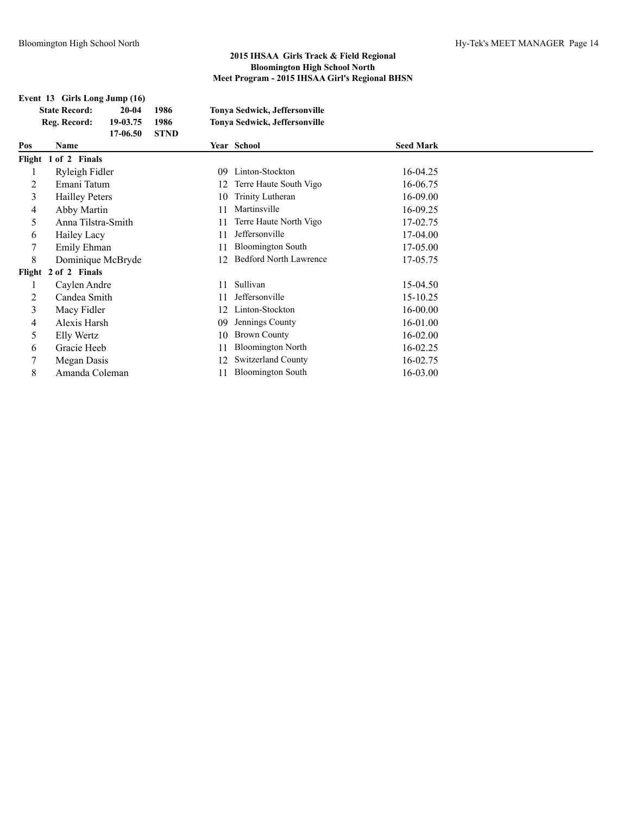## **Event 13 Girls Long Jump (16) State Record: 20-04 1986 Tonya Sedwick, Jeffersonville Reg. Record: 19-03.75 1986 Tonya Sedwick, Jeffersonville 17-06.50 STND Pos Name Year School Seed Mark Flight 1 of 2 Finals** 1 Ryleigh Fidler 09 Linton-Stockton 16-04.25 2 Emani Tatum 12 Terre Haute South Vigo 16-06.75 3 Hailley Peters 10 Trinity Lutheran 16-09.00 4 Abby Martin 11 Martinsville 16-09.25 5 Anna Tilstra-Smith 11 Terre Haute North Vigo 17-02.75 6 Hailey Lacy 11 Jeffersonville 17-04.00 7 Emily Ehman 11 Bloomington South 17-05.00 8 Dominique McBryde 12 Bedford North Lawrence 17-05.75 **Flight 2 of 2 Finals** 1 Caylen Andre 11 Sullivan 15-04.50 2 Candea Smith 11 Jeffersonville 15-10.25 3 Macy Fidler 12 Linton-Stockton 16-00.00 4 Alexis Harsh 09 Jennings County 16-01.00 5 Elly Wertz 10 Brown County 16-02.00 6 Gracie Heeb 11 Bloomington North 16-02.25 7 Megan Dasis 12 Switzerland County 16-02.75 8 Amanda Coleman 11 Bloomington South 16-03.00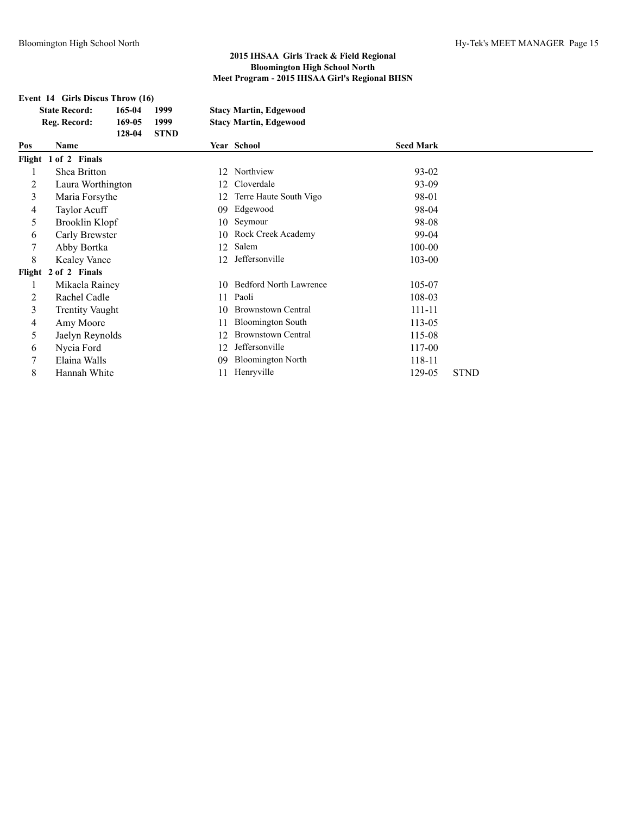# **Event 14 Girls Discus Throw (16)**

| <b>State Record:</b> | 165-04 | 1999        | <b>Stacy Martin, Edgewood</b> |
|----------------------|--------|-------------|-------------------------------|
| Reg. Record:         | 169-05 | 1999        | <b>Stacy Martin, Edgewood</b> |
|                      | 128-04 | <b>STND</b> |                               |

| Pos | Name                   |     | Year School                   | <b>Seed Mark</b> |             |
|-----|------------------------|-----|-------------------------------|------------------|-------------|
|     | Flight 1 of 2 Finals   |     |                               |                  |             |
|     | Shea Britton           | 12  | Northview                     | 93-02            |             |
|     | Laura Worthington      | 12. | Cloverdale                    | 93-09            |             |
| 3   | Maria Forsythe         | 12  | Terre Haute South Vigo        | 98-01            |             |
| 4   | Taylor Acuff           | 09  | Edgewood                      | 98-04            |             |
| 5   | Brooklin Klopf         | 10  | Seymour                       | 98-08            |             |
| 6   | Carly Brewster         |     | 10 Rock Creek Academy         | 99-04            |             |
|     | Abby Bortka            | 12  | Salem                         | 100-00           |             |
| 8   | <b>Kealey Vance</b>    | 12. | Jeffersonville                | 103-00           |             |
|     | Flight 2 of 2 Finals   |     |                               |                  |             |
|     | Mikaela Rainey         | 10  | <b>Bedford North Lawrence</b> | 105-07           |             |
|     | Rachel Cadle           |     | 11 Paoli                      | 108-03           |             |
| 3   | <b>Trentity Vaught</b> | 10  | <b>Brownstown Central</b>     | 111-11           |             |
| 4   | Amy Moore              | 11  | <b>Bloomington South</b>      | 113-05           |             |
| 5   | Jaelyn Reynolds        | 12  | <b>Brownstown Central</b>     | 115-08           |             |
| 6   | Nycia Ford             | 12  | Jeffersonville                | 117-00           |             |
|     | Elaina Walls           | 09  | <b>Bloomington North</b>      | 118-11           |             |
| 8   | Hannah White           |     | Henryville                    | 129-05           | <b>STND</b> |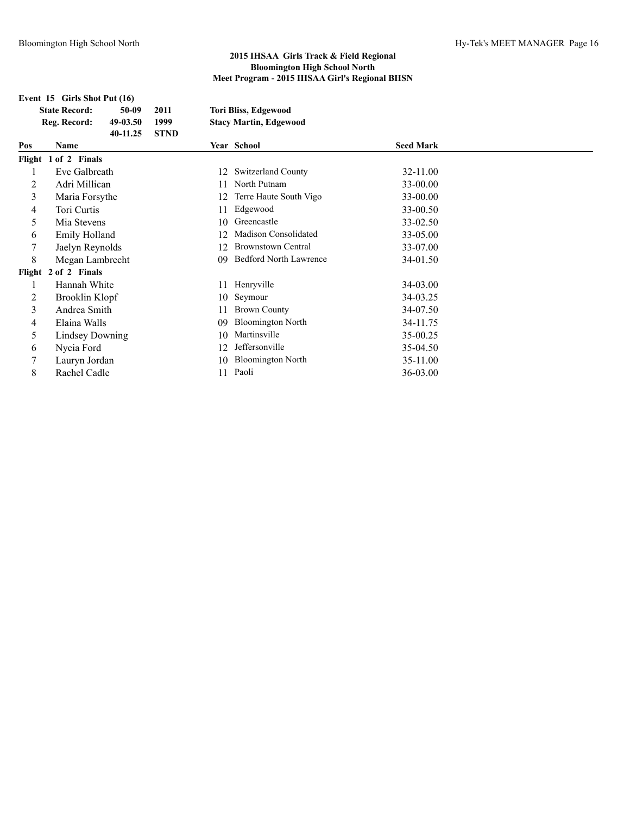|     | Event 15 Girls Shot Put (16)                                          |                             |          |                                                              |                  |  |  |
|-----|-----------------------------------------------------------------------|-----------------------------|----------|--------------------------------------------------------------|------------------|--|--|
|     | <b>State Record:</b><br>50-09<br>Reg. Record:<br>49-03.50<br>40-11.25 | 2011<br>1999<br><b>STND</b> |          | <b>Tori Bliss, Edgewood</b><br><b>Stacy Martin, Edgewood</b> |                  |  |  |
| Pos | <b>Name</b>                                                           |                             |          | Year School                                                  | <b>Seed Mark</b> |  |  |
|     | Flight 1 of 2 Finals                                                  |                             |          |                                                              |                  |  |  |
|     | Eve Galbreath                                                         |                             | 12       | <b>Switzerland County</b>                                    | 32-11.00         |  |  |
| 2   | Adri Millican                                                         |                             | 11       | North Putnam                                                 | 33-00.00         |  |  |
| 3   | Maria Forsythe                                                        |                             | 12       | Terre Haute South Vigo                                       | 33-00.00         |  |  |
| 4   | Tori Curtis                                                           |                             | 11       | Edgewood                                                     | 33-00.50         |  |  |
| 5   | Mia Stevens                                                           |                             | 10       | Greencastle                                                  | 33-02.50         |  |  |
| 6   | Emily Holland                                                         |                             | 12       | Madison Consolidated                                         | 33-05.00         |  |  |
| 7   | Jaelyn Reynolds                                                       |                             | 12       | <b>Brownstown Central</b>                                    | 33-07.00         |  |  |
| 8   | Megan Lambrecht                                                       | 09                          |          | <b>Bedford North Lawrence</b>                                | 34-01.50         |  |  |
|     | Flight 2 of 2 Finals                                                  |                             |          |                                                              |                  |  |  |
|     | Hannah White                                                          |                             | 11       | Henryville                                                   | 34-03.00         |  |  |
| 2   | Brooklin Klopf                                                        |                             | 10       | Seymour                                                      | 34-03.25         |  |  |
| 3   | Andrea Smith                                                          |                             | 11       | <b>Brown County</b>                                          | 34-07.50         |  |  |
| 4   | <b>Bloomington North</b><br>Elaina Walls<br>09                        |                             | 34-11.75 |                                                              |                  |  |  |
| 5   | Lindsey Downing                                                       |                             | 10       | Martinsville                                                 | 35-00.25         |  |  |

- 
- 6 Nycia Ford 12 Jeffersonville 35-04.50
- 7 Lauryn Jordan 10 Bloomington North 35-11.00
- 8 Rachel Cadle 11 Paoli 36-03.00